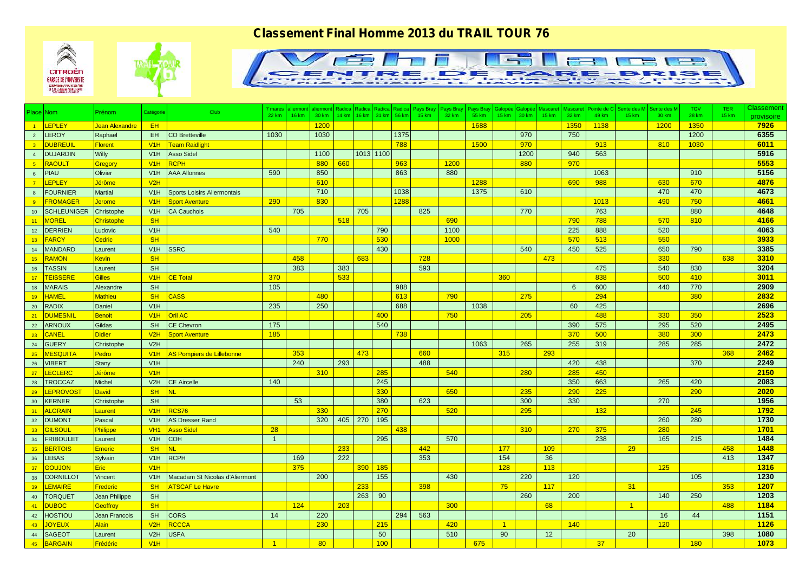## *Classement Final Homme 2013 du TRAIL TOUR 76*







| Place Nom       |                       | Prénom            | Catégorie        | Club                             | 7 mares<br>22 km | <b>aliermont</b><br>16 km | aliermont<br>30 km |         | Radica   Radica   Radica  <br>14 km   16 km   31 km |            | 56 km | Radica Pays Bray<br>15 km | 32 km | Pays Bray Pays Bray<br>55 km | Galopée<br>15 km | Galop<br>30 km | Mascaret<br>15 km | <b>Mascaret</b><br>32 km | Pointe de C<br>49 km | Sente des M<br>15 km | Sente des M<br>30 km | <b>TGV</b><br>28 km | TER.<br><b>15 km</b> | <b>Classement</b> |
|-----------------|-----------------------|-------------------|------------------|----------------------------------|------------------|---------------------------|--------------------|---------|-----------------------------------------------------|------------|-------|---------------------------|-------|------------------------------|------------------|----------------|-------------------|--------------------------|----------------------|----------------------|----------------------|---------------------|----------------------|-------------------|
|                 |                       |                   |                  |                                  |                  |                           |                    |         |                                                     |            |       |                           |       |                              |                  |                |                   |                          |                      |                      |                      |                     |                      | provisoire        |
| $-1$            | <b>LEPLEY</b>         | Jean Alexandre    | EH.              |                                  |                  |                           | 1200               |         |                                                     |            |       |                           |       | 1688                         |                  |                |                   | 1350                     | 1138                 |                      | 1200                 | 1350                |                      | 7926              |
| $\overline{2}$  | <b>LEROY</b>          | Raphael           | EH.              | <b>CO Bretteville</b>            | 1030             |                           | 1030               |         |                                                     |            | 1375  |                           |       |                              |                  | 970            |                   | 750                      |                      |                      |                      | 1200                |                      | 6355              |
| $\overline{3}$  | <b>DUBREUIL</b>       | <b>Florent</b>    | V1H              | <b>Team Raidlight</b>            |                  |                           |                    |         |                                                     |            | 788   |                           |       | 1500                         |                  | 970            |                   |                          | 913                  |                      | 810                  | 1030                |                      | 6011              |
| $\overline{4}$  | <b>DUJARDIN</b>       | Willy             | V1H              | <b>Asso Sidel</b>                |                  |                           | 1100               |         | 1013 1100                                           |            |       |                           |       |                              |                  | 1200           |                   | 940                      | 563                  |                      |                      |                     |                      | 5916              |
| 5               | <b>RAOULT</b>         | Gregory           | V1H              | <b>RCPH</b>                      |                  |                           | 880                | 660     |                                                     |            | 963   |                           | 1200  |                              |                  | 880            |                   | 970                      |                      |                      |                      |                     |                      | 5553              |
| 6               | <b>PIAU</b>           | Olivier           | V1H              | <b>AAA Allonnes</b>              | 590              |                           | 850                |         |                                                     |            | 863   |                           | 880   |                              |                  |                |                   |                          | 1063                 |                      |                      | 910                 |                      | 5156              |
| $-7$            | <b>LEPLEY</b>         | Jérôme            | V2H              |                                  |                  |                           | 610                |         |                                                     |            |       |                           |       | 1288                         |                  |                |                   | 690                      | 988                  |                      | 630                  | 670                 |                      | 4876              |
| 8               | <b>FOURNIER</b>       | <b>Martial</b>    | V1H              | Sports Loisirs Aliermontais      |                  |                           | 710                |         |                                                     |            | 1038  |                           |       | 1375                         |                  | 610            |                   |                          |                      |                      | 470                  | 470                 |                      | 4673              |
| $-9$            | FROMAGER              | Jerome            | V1H              | <b>Sport Aventure</b>            | 290              |                           | 830                |         |                                                     |            | 1288  |                           |       |                              |                  |                |                   |                          | 1013                 |                      | 490                  | 750                 |                      | 4661              |
|                 | 10 SCHLEUNIGER        | Christophe        | V1H              | <b>CA Cauchois</b>               |                  | 705                       |                    |         | 705                                                 |            |       | 825                       |       |                              |                  | 770            |                   |                          | 763                  |                      |                      | 880                 |                      | 4648              |
| 11              | <b>MOREL</b>          | <b>Christophe</b> | <b>SH</b>        |                                  |                  |                           |                    | 518     |                                                     |            |       |                           | 690   |                              |                  |                |                   | 790                      | 788                  |                      | 570                  | 810                 |                      | 4166              |
| 12              | <b>DERRIEN</b>        | Ludovic           | V1H              |                                  | 540              |                           |                    |         |                                                     | 790        |       |                           | 1100  |                              |                  |                |                   | 225                      | 888                  |                      | 520                  |                     |                      | 4063              |
| 13              | <b>FARCY</b>          | <b>Cedric</b>     | <b>SH</b>        |                                  |                  |                           | 770                |         |                                                     | 530        |       |                           | 1000  |                              |                  |                |                   | 570                      | 513                  |                      | 550                  |                     |                      | 3933              |
|                 | 14 MANDARD            | Laurent           | V1H              | <b>SSRC</b>                      |                  |                           |                    |         |                                                     | 430        |       |                           |       |                              |                  | 540            |                   | 450                      | 525                  |                      | 650                  | 790                 |                      | 3385              |
| 15              | RAMON                 | <b>Kevin</b>      | SH               |                                  |                  | 458                       |                    |         | 683                                                 |            |       | 728                       |       |                              |                  |                | 473               |                          |                      |                      | 330                  |                     | 638                  | 3310              |
| 16              | <b>TASSIN</b>         | Laurent           | <b>SH</b>        |                                  |                  | 383                       |                    | 383     |                                                     |            |       | 593                       |       |                              |                  |                |                   |                          | 475                  |                      | 540                  | 830                 |                      | 3204              |
| $-17$           | <b>TEISSERE</b>       | <b>Gilles</b>     | V1H              | <b>CE Total</b>                  | 370              |                           |                    | 533     |                                                     |            |       |                           |       |                              | 360              |                |                   |                          | 838                  |                      | 500                  | 410                 |                      | 3011              |
| 18              | <b>MARAIS</b>         | Alexandre         | <b>SH</b>        |                                  | 105              |                           |                    |         |                                                     |            | 988   |                           |       |                              |                  |                |                   | 6                        | 600                  |                      | 440                  | 770                 |                      | 2909              |
| $-19$           | <b>HAMEL</b>          | <b>Mathieu</b>    | <b>SH</b>        | <b>CASS</b>                      |                  |                           | 480                |         |                                                     |            | 613   |                           | 790   |                              |                  | 275            |                   |                          | 294                  |                      |                      | 380                 |                      | 2832              |
| 20              | <b>RADIX</b>          | Daniel            | V1H              |                                  | 235              |                           | 250                |         |                                                     |            | 688   |                           |       | 1038                         |                  |                |                   | 60                       | 425                  |                      |                      |                     |                      | 2696              |
| $-21$           | <b>DUMESNII</b>       | <b>Benoit</b>     | V1H              | <b>Oril AC</b>                   |                  |                           |                    |         |                                                     | 400        |       |                           | 750   |                              |                  | 205            |                   |                          | 488                  |                      | 330                  | 350                 |                      | 2523              |
| 22              | ARNOUX                | Gildas            | SH               | <b>CE Chevron</b>                | 175              |                           |                    |         |                                                     | 540        |       |                           |       |                              |                  |                |                   | 390                      | 575                  |                      | 295                  | 520                 |                      | 2495              |
| 23              | <b>CANEL</b>          | <b>Didier</b>     | V2H              | <b>Sport Aventure</b>            | 185              |                           |                    |         |                                                     |            | 738   |                           |       |                              |                  |                |                   | 370                      | 500                  |                      | 380                  | 300                 |                      | 2473              |
| 24              | <b>GUERY</b>          | Christophe        | V2H              |                                  |                  |                           |                    |         |                                                     |            |       |                           |       | 1063                         |                  | 265            |                   | 255                      | 319                  |                      | 285                  | 285                 |                      | 2472              |
| 25              | <b>MESQUITA</b>       | Pedro             | V1H              | <b>AS Pompiers de Lillebonne</b> |                  | 353                       |                    |         | 473                                                 |            |       | 660                       |       |                              | 315              |                | 293               |                          |                      |                      |                      |                     | 368                  | 2462              |
| 26              | <b>VIBERT</b>         | <b>Stany</b>      | V1H              |                                  |                  | 240                       |                    | 293     |                                                     |            |       | 488                       |       |                              |                  |                |                   | 420                      | 438                  |                      |                      | 370                 |                      | 2249              |
| 27              | <b>LECLERC</b>        | Jérôme            | V1H              |                                  |                  |                           | 310                |         |                                                     | 285        |       |                           | 540   |                              |                  | 280            |                   | 285                      | 450                  |                      |                      |                     |                      | 2150              |
| 28              | <b>TROCCAZ</b>        | <b>Michel</b>     | V2H              | <b>CE Aircelle</b>               | 140              |                           |                    |         |                                                     | 245        |       |                           |       |                              |                  |                |                   | 350                      | 663                  |                      | 265                  | 420                 |                      | 2083              |
| $-29$           | LEPROVOS <sup>-</sup> | <b>David</b>      | SH               | NL.                              |                  |                           |                    |         |                                                     | 330        |       |                           | 650   |                              |                  | 235            |                   | 290                      | 225                  |                      |                      | 290                 |                      | 2020              |
| 30              | <b>KERNER</b>         | Christophe        | <b>SH</b>        |                                  |                  | 53                        |                    |         |                                                     | 380        |       | 623                       |       |                              |                  | 300            |                   | 330                      |                      |                      | 270                  |                     |                      | 1956              |
| $-31$           | <b>ALGRAIN</b>        | Laurent           | V1H              | <b>RCS76</b>                     |                  |                           | 330                |         |                                                     | 270        |       |                           | 520   |                              |                  | 295            |                   |                          | 132                  |                      |                      | 245                 |                      | 1792              |
| 32              | <b>DUMONT</b>         | Pascal            | V <sub>1</sub> H | <b>AS Dresser Rand</b>           |                  |                           | 320                | 405 270 |                                                     | 195        |       |                           |       |                              |                  |                |                   |                          |                      |                      | 260                  | 280                 |                      | 1730              |
| 33 <sup>°</sup> | GILSOUL               | Philippe          | <b>VH1</b>       | Asso Sidel                       | 28               |                           |                    |         |                                                     |            | 438   |                           |       |                              |                  | 310            |                   | 270                      | 375                  |                      | 280                  |                     |                      | 1701              |
| 34              | <b>FRIBOULET</b>      | Laurent           | V <sub>1</sub> H | <b>COH</b>                       | $\overline{1}$   |                           |                    |         |                                                     | 295        |       |                           | 570   |                              |                  |                |                   |                          | 238                  |                      | 165                  | 215                 |                      | 1484              |
| 35              | <b>BERTOIS</b>        | <b>Emeric</b>     | <b>SH</b>        | NL.                              |                  |                           |                    | 233     |                                                     |            |       | 442                       |       |                              | 177              |                | 109               |                          |                      | 29                   |                      |                     | 458                  | 1448              |
| 36              | <b>LEBAS</b>          | Sylvain           | V1H              | <b>RCPH</b>                      |                  | 169                       |                    | 222     |                                                     |            |       | 353                       |       |                              | 154              |                | 36                |                          |                      |                      |                      |                     | 413                  | 1347              |
| 37              | <b>GOUJON</b>         | <b>Eric</b>       | V1H              |                                  |                  | 375                       |                    |         | 390 <sub>1</sub>                                    | <b>185</b> |       |                           |       |                              | 128              |                | 113               |                          |                      |                      | 125                  |                     |                      | 1316              |
| 38              | <b>CORNILLOT</b>      | Vincent           | V1H              | Macadam St Nicolas d'Aliermont   |                  |                           | 200                |         |                                                     | 155        |       |                           | 430   |                              |                  | 220            |                   | 120                      |                      |                      |                      | 105                 |                      | 1230              |
| 39              | <b>LEMAIRE</b>        | <b>Frederic</b>   | <b>SH</b>        | <b>ATSCAF Le Havre</b>           |                  |                           |                    |         | 233                                                 |            |       | 398                       |       |                              | 75               |                | 117               |                          |                      | 31                   |                      |                     | 353                  | 1207              |
| 40              | <b>TORQUET</b>        | Jean Philippe     | <b>SH</b>        |                                  |                  |                           |                    |         | 263                                                 | 90         |       |                           |       |                              |                  | 260            |                   | 200                      |                      |                      | 140                  | 250                 |                      | 1203              |
| $-41$           | <b>DUBOC</b>          | Geoffroy          | <b>SH</b>        |                                  |                  | 124                       |                    | 203     |                                                     |            |       |                           | 300   |                              |                  |                | 68                |                          |                      | $\overline{1}$       |                      |                     | 488                  | 1184              |
| 42              | <b>HOSTIOU</b>        | Jean Francois     | <b>SH</b>        | <b>CORS</b>                      | 14               |                           | 220                |         |                                                     |            | 294   | 563                       |       |                              |                  |                |                   |                          |                      |                      | 16                   | 44                  |                      | 1151              |
| $-43$           | <b>JOYEUX</b>         | Alain             | V2H              | RCCCA                            |                  |                           | 230                |         |                                                     | 215        |       |                           | 420   |                              | -1               |                |                   | 140                      |                      |                      | 120                  |                     |                      | 1126              |
| 44              | <b>SAGEOT</b>         | Laurent           | V2H              | <b>USFA</b>                      |                  |                           |                    |         |                                                     | 50         |       |                           | 510   |                              | 90               |                | 12                |                          |                      | 20                   |                      |                     | 398                  | 1080              |
| 45              | <b>BARGAIN</b>        | Frédéric          | V1H              |                                  |                  |                           | 80                 |         |                                                     | 100        |       |                           |       | 675                          |                  |                |                   |                          | 37                   |                      |                      | 180                 |                      | 1073              |
|                 |                       |                   |                  |                                  |                  |                           |                    |         |                                                     |            |       |                           |       |                              |                  |                |                   |                          |                      |                      |                      |                     |                      |                   |